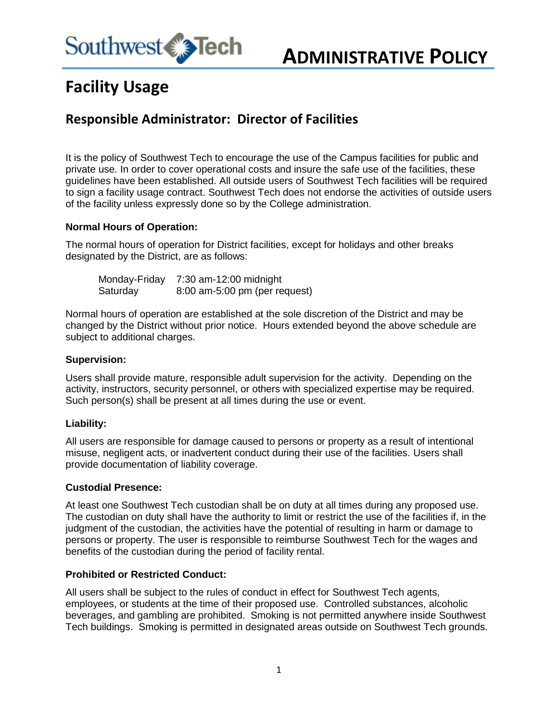

# **Facility Usage**

# **Responsible Administrator: Director of Facilities**

It is the policy of Southwest Tech to encourage the use of the Campus facilities for public and private use. In order to cover operational costs and insure the safe use of the facilities, these guidelines have been established. All outside users of Southwest Tech facilities will be required to sign a facility usage contract. Southwest Tech does not endorse the activities of outside users of the facility unless expressly done so by the College administration.

#### **Normal Hours of Operation:**

The normal hours of operation for District facilities, except for holidays and other breaks designated by the District, are as follows:

Monday-Friday 7:30 am-12:00 midnight Saturday 8:00 am-5:00 pm (per request)

Normal hours of operation are established at the sole discretion of the District and may be changed by the District without prior notice. Hours extended beyond the above schedule are subject to additional charges.

#### **Supervision:**

Users shall provide mature, responsible adult supervision for the activity. Depending on the activity, instructors, security personnel, or others with specialized expertise may be required. Such person(s) shall be present at all times during the use or event.

## **Liability:**

All users are responsible for damage caused to persons or property as a result of intentional misuse, negligent acts, or inadvertent conduct during their use of the facilities. Users shall provide documentation of liability coverage.

#### **Custodial Presence:**

At least one Southwest Tech custodian shall be on duty at all times during any proposed use. The custodian on duty shall have the authority to limit or restrict the use of the facilities if, in the judgment of the custodian, the activities have the potential of resulting in harm or damage to persons or property. The user is responsible to reimburse Southwest Tech for the wages and benefits of the custodian during the period of facility rental.

#### **Prohibited or Restricted Conduct:**

All users shall be subject to the rules of conduct in effect for Southwest Tech agents, employees, or students at the time of their proposed use. Controlled substances, alcoholic beverages, and gambling are prohibited. Smoking is not permitted anywhere inside Southwest Tech buildings. Smoking is permitted in designated areas outside on Southwest Tech grounds.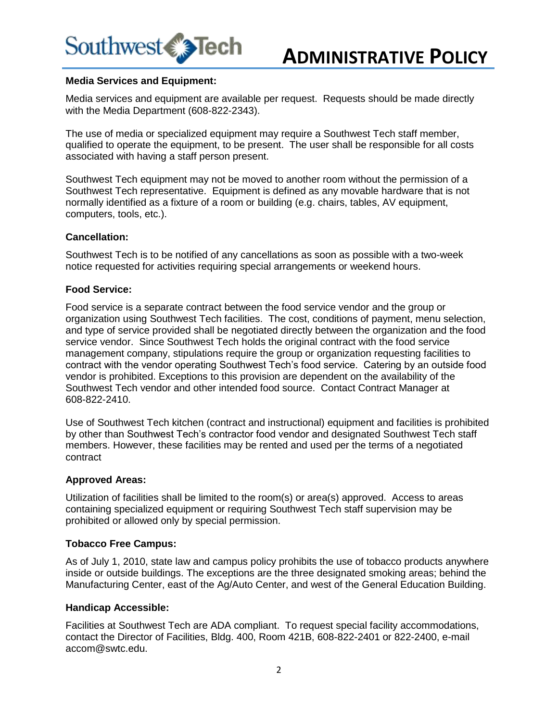

#### **Media Services and Equipment:**

Media services and equipment are available per request. Requests should be made directly with the Media Department (608-822-2343).

The use of media or specialized equipment may require a Southwest Tech staff member, qualified to operate the equipment, to be present. The user shall be responsible for all costs associated with having a staff person present.

Southwest Tech equipment may not be moved to another room without the permission of a Southwest Tech representative. Equipment is defined as any movable hardware that is not normally identified as a fixture of a room or building (e.g. chairs, tables, AV equipment, computers, tools, etc.).

#### **Cancellation:**

Southwest Tech is to be notified of any cancellations as soon as possible with a two-week notice requested for activities requiring special arrangements or weekend hours.

#### **Food Service:**

Food service is a separate contract between the food service vendor and the group or organization using Southwest Tech facilities. The cost, conditions of payment, menu selection, and type of service provided shall be negotiated directly between the organization and the food service vendor. Since Southwest Tech holds the original contract with the food service management company, stipulations require the group or organization requesting facilities to contract with the vendor operating Southwest Tech's food service. Catering by an outside food vendor is prohibited. Exceptions to this provision are dependent on the availability of the Southwest Tech vendor and other intended food source. Contact Contract Manager at 608-822-2410.

Use of Southwest Tech kitchen (contract and instructional) equipment and facilities is prohibited by other than Southwest Tech's contractor food vendor and designated Southwest Tech staff members. However, these facilities may be rented and used per the terms of a negotiated contract

#### **Approved Areas:**

Utilization of facilities shall be limited to the room(s) or area(s) approved. Access to areas containing specialized equipment or requiring Southwest Tech staff supervision may be prohibited or allowed only by special permission.

#### **Tobacco Free Campus:**

As of July 1, 2010, state law and campus policy prohibits the use of tobacco products anywhere inside or outside buildings. The exceptions are the three designated smoking areas; behind the Manufacturing Center, east of the Ag/Auto Center, and west of the General Education Building.

#### **Handicap Accessible:**

Facilities at Southwest Tech are ADA compliant. To request special facility accommodations, contact the Director of Facilities, Bldg. 400, Room 421B, 608-822-2401 or 822-2400, e-mail accom@swtc.edu.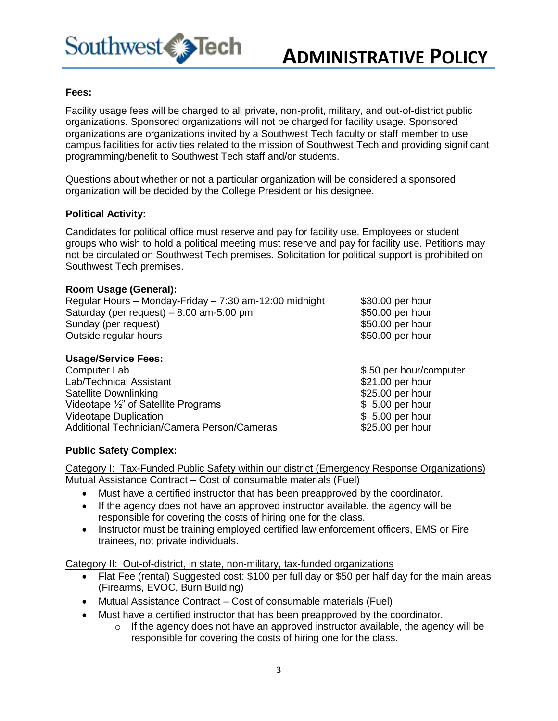

#### **Fees:**

Facility usage fees will be charged to all private, non-profit, military, and out-of-district public organizations. Sponsored organizations will not be charged for facility usage. Sponsored organizations are organizations invited by a Southwest Tech faculty or staff member to use campus facilities for activities related to the mission of Southwest Tech and providing significant programming/benefit to Southwest Tech staff and/or students.

Questions about whether or not a particular organization will be considered a sponsored organization will be decided by the College President or his designee.

#### **Political Activity:**

Candidates for political office must reserve and pay for facility use. Employees or student groups who wish to hold a political meeting must reserve and pay for facility use. Petitions may not be circulated on Southwest Tech premises. Solicitation for political support is prohibited on Southwest Tech premises.

#### **Room Usage (General):**

| Regular Hours - Monday-Friday - 7:30 am-12:00 midnight | \$30.00 per hour    |
|--------------------------------------------------------|---------------------|
| Saturday (per request) $-8:00$ am-5:00 pm              | \$50.00 per hour    |
| Sunday (per request)                                   | \$50.00 per hour    |
| Outside regular hours                                  | \$50.00 per hour    |
| <b>Usage/Service Fees:</b><br>$Common_{\text{max}}$    | $0 E0$ par bourloor |

| Computer Lab                                    | \$.50 per hour/computer |
|-------------------------------------------------|-------------------------|
| Lab/Technical Assistant                         | \$21.00 per hour        |
| Satellite Downlinking                           | \$25.00 per hour        |
| Videotape $\frac{1}{2}$ " of Satellite Programs | $$5.00$ per hour        |
| <b>Videotape Duplication</b>                    | $$5.00$ per hour        |
| Additional Technician/Camera Person/Cameras     | \$25.00 per hour        |

## **Public Safety Complex:**

Category I: Tax-Funded Public Safety within our district (Emergency Response Organizations) Mutual Assistance Contract – Cost of consumable materials (Fuel)

- Must have a certified instructor that has been preapproved by the coordinator.
- If the agency does not have an approved instructor available, the agency will be responsible for covering the costs of hiring one for the class.
- Instructor must be training employed certified law enforcement officers, EMS or Fire trainees, not private individuals.

Category II: Out-of-district, in state, non-military, tax-funded organizations

- Flat Fee (rental) Suggested cost: \$100 per full day or \$50 per half day for the main areas (Firearms, EVOC, Burn Building)
- Mutual Assistance Contract Cost of consumable materials (Fuel)
- Must have a certified instructor that has been preapproved by the coordinator.
	- o If the agency does not have an approved instructor available, the agency will be responsible for covering the costs of hiring one for the class.